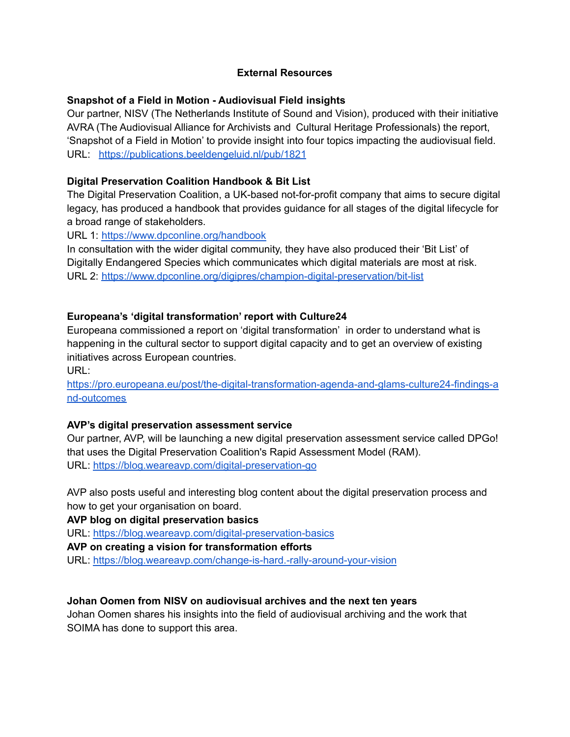#### **External Resources**

## **Snapshot of a Field in Motion - Audiovisual Field insights**

Our partner, NISV (The Netherlands Institute of Sound and Vision), produced with their initiative AVRA (The Audiovisual Alliance for Archivists and Cultural Heritage Professionals) the report, 'Snapshot of a Field in Motion' to provide insight into four topics impacting the audiovisual field. URL: <https://publications.beeldengeluid.nl/pub/1821>

## **Digital Preservation Coalition Handbook & Bit List**

The Digital Preservation Coalition, a UK-based not-for-profit company that aims to secure digital legacy, has produced a handbook that provides guidance for all stages of the digital lifecycle for a broad range of stakeholders.

URL 1: <https://www.dpconline.org/handbook>

In consultation with the wider digital community, they have also produced their 'Bit List' of Digitally Endangered Species which communicates which digital materials are most at risk. URL 2: <https://www.dpconline.org/digipres/champion-digital-preservation/bit-list>

## **Europeana's 'digital transformation' report with Culture24**

Europeana commissioned a report on 'digital transformation' in order to understand what is happening in the cultural sector to support digital capacity and to get an overview of existing initiatives across European countries.

URL:

[https://pro.europeana.eu/post/the-digital-transformation-agenda-and-glams-culture24-findings-a](https://pro.europeana.eu/post/the-digital-transformation-agenda-and-glams-culture24-findings-and-outcomes) [nd-outcomes](https://pro.europeana.eu/post/the-digital-transformation-agenda-and-glams-culture24-findings-and-outcomes)

#### **AVP's digital preservation assessment service**

Our partner, AVP, will be launching a new digital preservation assessment service called DPGo! that uses the Digital Preservation Coalition's Rapid Assessment Model (RAM). URL: <https://blog.weareavp.com/digital-preservation-go>

AVP also posts useful and interesting blog content about the digital preservation process and how to get your organisation on board.

**AVP blog on digital preservation basics**

URL: <https://blog.weareavp.com/digital-preservation-basics>

#### **AVP on creating a vision for transformation efforts**

URL: <https://blog.weareavp.com/change-is-hard.-rally-around-your-vision>

#### **Johan Oomen from NISV on audiovisual archives and the next ten years**

Johan Oomen shares his insights into the field of audiovisual archiving and the work that SOIMA has done to support this area.